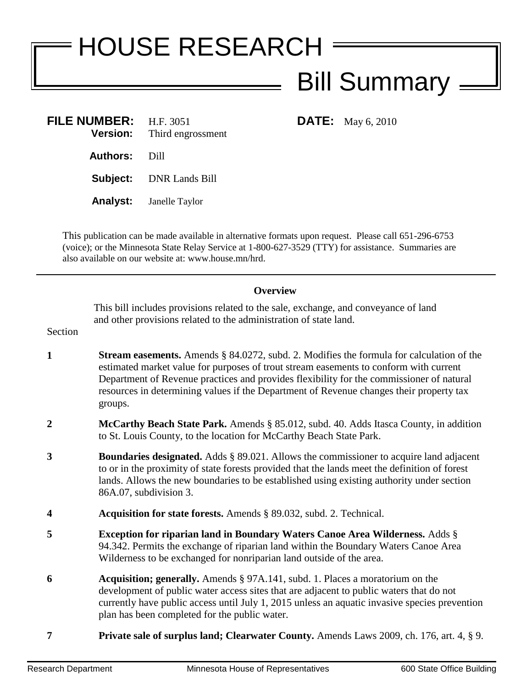## HOUSE RESEARCH Bill Summary

| FILE NUMBER: $H.F. 3051$ | <b>Version:</b> Third engrossment |
|--------------------------|-----------------------------------|
| <b>Authors: Dill</b>     |                                   |
|                          | <b>Subject:</b> DNR Lands Bill    |
|                          | <b>Analyst:</b> Janelle Taylor    |

**DATE:** May 6, 2010

This publication can be made available in alternative formats upon request. Please call 651-296-6753 (voice); or the Minnesota State Relay Service at 1-800-627-3529 (TTY) for assistance. Summaries are also available on our website at: www.house.mn/hrd.

## **Overview**

This bill includes provisions related to the sale, exchange, and conveyance of land and other provisions related to the administration of state land.

Section

- **1 Stream easements.** Amends § 84.0272, subd. 2. Modifies the formula for calculation of the estimated market value for purposes of trout stream easements to conform with current Department of Revenue practices and provides flexibility for the commissioner of natural resources in determining values if the Department of Revenue changes their property tax groups.
- **2 McCarthy Beach State Park.** Amends § 85.012, subd. 40. Adds Itasca County, in addition to St. Louis County, to the location for McCarthy Beach State Park.
- **3 Boundaries designated.** Adds § 89.021. Allows the commissioner to acquire land adjacent to or in the proximity of state forests provided that the lands meet the definition of forest lands. Allows the new boundaries to be established using existing authority under section 86A.07, subdivision 3.
- **4 Acquisition for state forests.** Amends § 89.032, subd. 2. Technical.
- **5 Exception for riparian land in Boundary Waters Canoe Area Wilderness.** Adds § 94.342. Permits the exchange of riparian land within the Boundary Waters Canoe Area Wilderness to be exchanged for nonriparian land outside of the area.
- **6 Acquisition; generally.** Amends § 97A.141, subd. 1. Places a moratorium on the development of public water access sites that are adjacent to public waters that do not currently have public access until July 1, 2015 unless an aquatic invasive species prevention plan has been completed for the public water.
- **7 Private sale of surplus land; Clearwater County.** Amends Laws 2009, ch. 176, art. 4, § 9.